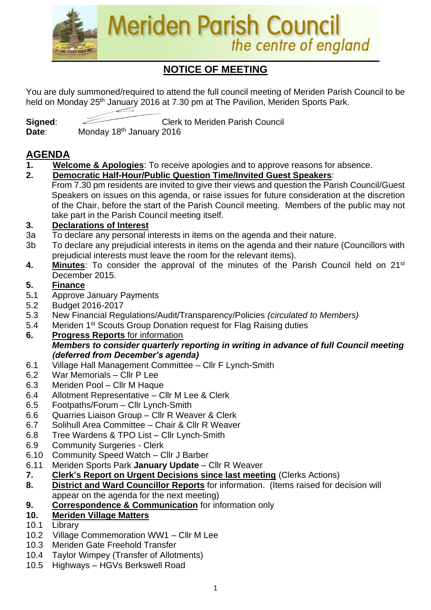

# **NOTICE OF MEETING**

You are duly summoned/required to attend the full council meeting of Meriden Parish Council to be held on Monday 25<sup>th</sup> January 2016 at 7.30 pm at The Pavilion, Meriden Sports Park.

**Signed:** Clerk to Meriden Parish Council **Date**: Monday 18th January 2016

# **AGENDA**

- **1. Welcome & Apologies**: To receive apologies and to approve reasons for absence.
- **2. Democratic Half-Hour/Public Question Time/Invited Guest Speakers**: From 7.30 pm residents are invited to give their views and question the Parish Council/Guest Speakers on issues on this agenda, or raise issues for future consideration at the discretion of the Chair, before the start of the Parish Council meeting. Members of the public may not take part in the Parish Council meeting itself.

#### **3. Declarations of Interest**

- 3a To declare any personal interests in items on the agenda and their nature.
- 3b To declare any prejudicial interests in items on the agenda and their nature (Councillors with prejudicial interests must leave the room for the relevant items).
- **4. Minutes**: To consider the approval of the minutes of the Parish Council held on 21st December 2015.

#### **5. Finance**

- 5**.**1 Approve January Payments
- 5.2 Budget 2016-2017
- 5.3 New Financial Regulations/Audit/Transparency/Policies *(circulated to Members)*
- 5.4 Meriden 1<sup>st</sup> Scouts Group Donation request for Flag Raising duties
- **6. Progress Reports** for information *Members to consider quarterly reporting in writing in advance of full Council meeting (deferred from December's agenda)*
- 6.1 Village Hall Management Committee Cllr F Lynch-Smith
- 6.2 War Memorials Cllr P Lee
- 6.3 Meriden Pool Cllr M Haque
- 6.4 Allotment Representative Cllr M Lee & Clerk
- 6.5 Footpaths/Forum Cllr Lynch-Smith
- 6.6 Quarries Liaison Group Cllr R Weaver & Clerk
- 6.7 Solihull Area Committee Chair & Cllr R Weaver
- 6.8 Tree Wardens & TPO List Cllr Lynch-Smith
- 6.9 Community Surgeries Clerk
- 6.10 Community Speed Watch Cllr J Barber
- 6.11 Meriden Sports Park **January Update** Cllr R Weaver
- **7. Clerk's Report on Urgent Decisions since last meeting** (Clerks Actions)
- **8. District and Ward Councillor Reports** for information. (Items raised for decision will appear on the agenda for the next meeting)
- **9. Correspondence & Communication** for information only

#### **10. Meriden Village Matters**

- 10.1 Library
- 10.2 Village Commemoration WW1 Cllr M Lee
- 10.3 Meriden Gate Freehold Transfer
- 10.4 Taylor Wimpey (Transfer of Allotments)
- 10.5 Highways HGVs Berkswell Road